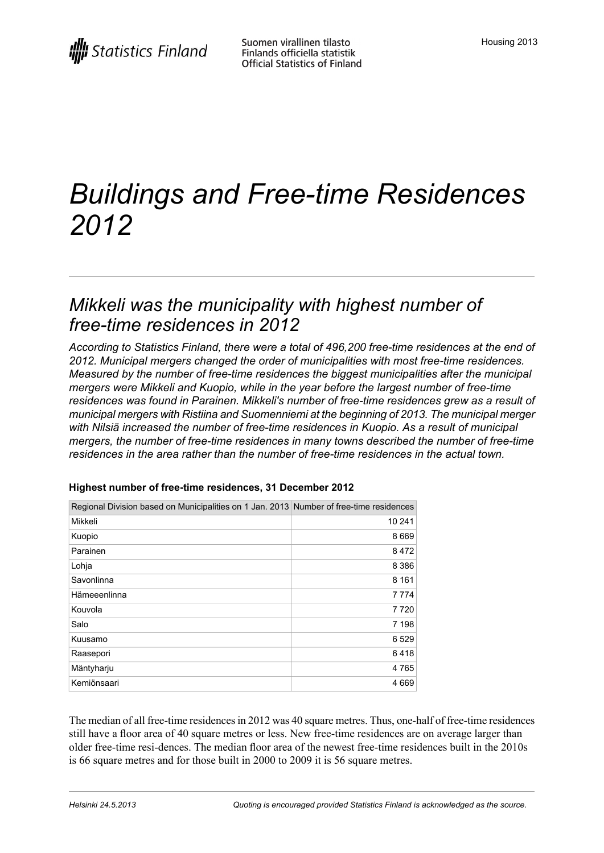# *Buildings and Free-time Residences 2012*

### *Mikkeli was the municipality with highest number of free-time residences in 2012*

*According to Statistics Finland, there were a total of 496,200 free-time residences at the end of 2012. Municipal mergers changed the order of municipalities with most free-time residences. Measured by the number of free-time residences the biggest municipalities after the municipal mergers were Mikkeli and Kuopio, while in the year before the largest number of free-time residences was found in Parainen. Mikkeli's number of free-time residences grew as a result of municipal mergers with Ristiina and Suomenniemi at the beginning of 2013. The municipal merger with Nilsiä increased the number of free-time residences in Kuopio. As a result of municipal mergers, the number of free-time residences in many towns described the number of free-time residences in the area rather than the number of free-time residences in the actual town.*

| Mikkeli<br>Kuopio<br>Parainen<br>Lohja<br>Savonlinna<br>Hämeeenlinna<br>Kouvola<br>Salo<br>Kuusamo<br>Raasepori<br>Mäntyharju<br>Kemiönsaari | Regional Division based on Municipalities on 1 Jan. 2013 Number of free-time residences |         |
|----------------------------------------------------------------------------------------------------------------------------------------------|-----------------------------------------------------------------------------------------|---------|
|                                                                                                                                              |                                                                                         | 10 241  |
|                                                                                                                                              |                                                                                         | 8 6 6 9 |
|                                                                                                                                              |                                                                                         | 8472    |
|                                                                                                                                              |                                                                                         | 8 3 8 6 |
|                                                                                                                                              |                                                                                         | 8 1 6 1 |
|                                                                                                                                              |                                                                                         | 7 7 7 4 |
|                                                                                                                                              |                                                                                         | 7 7 20  |
|                                                                                                                                              |                                                                                         | 7 198   |
|                                                                                                                                              |                                                                                         | 6 5 29  |
|                                                                                                                                              |                                                                                         | 6418    |
|                                                                                                                                              |                                                                                         | 4765    |
|                                                                                                                                              |                                                                                         | 4 6 6 9 |

#### **Highest number of free-time residences, 31 December 2012**

The median of all free-time residences in 2012 was 40 square metres. Thus, one-half of free-time residences still have a floor area of 40 square metres or less. New free-time residences are on average larger than older free-time resi-dences. The median floor area of the newest free-time residences built in the 2010s is 66 square metres and for those built in 2000 to 2009 it is 56 square metres.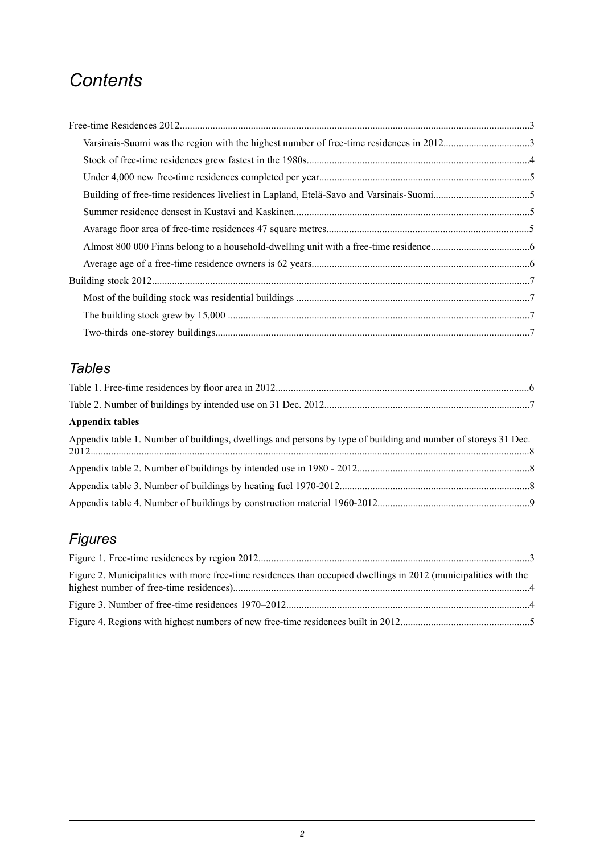## *Contents*

| Varsinais-Suomi was the region with the highest number of free-time residences in 20123 |  |
|-----------------------------------------------------------------------------------------|--|
|                                                                                         |  |
|                                                                                         |  |
|                                                                                         |  |
|                                                                                         |  |
|                                                                                         |  |
|                                                                                         |  |
|                                                                                         |  |
|                                                                                         |  |
|                                                                                         |  |
|                                                                                         |  |
|                                                                                         |  |

### *Tables*

| <b>Appendix tables</b>                                                                                         |  |
|----------------------------------------------------------------------------------------------------------------|--|
| Appendix table 1. Number of buildings, dwellings and persons by type of building and number of storeys 31 Dec. |  |
|                                                                                                                |  |
|                                                                                                                |  |
|                                                                                                                |  |

### *Figures*

| Figure 2. Municipalities with more free-time residences than occupied dwellings in 2012 (municipalities with the |  |
|------------------------------------------------------------------------------------------------------------------|--|
|                                                                                                                  |  |
|                                                                                                                  |  |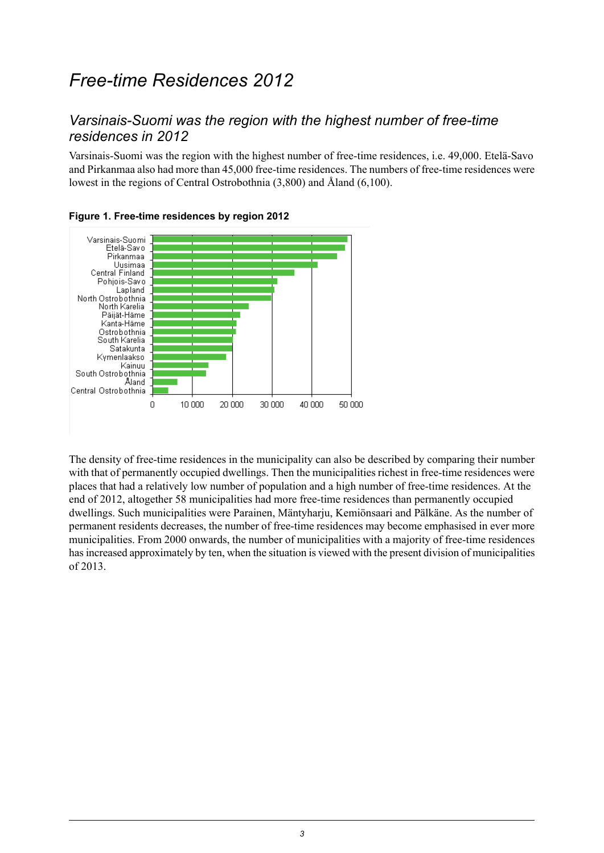### <span id="page-2-0"></span>*Free-time Residences 2012*

#### <span id="page-2-1"></span>*Varsinais-Suomi was the region with the highest number of free-time residences in 2012*

Varsinais-Suomi was the region with the highest number of free-time residences, i.e. 49,000. Etelä-Savo and Pirkanmaa also had more than 45,000 free-time residences. The numbers of free-time residences were lowest in the regions of Central Ostrobothnia (3,800) and Åland (6,100).



<span id="page-2-2"></span>

The density of free-time residences in the municipality can also be described by comparing their number with that of permanently occupied dwellings. Then the municipalities richest in free-time residences were places that had a relatively low number of population and a high number of free-time residences. At the end of 2012, altogether 58 municipalities had more free-time residences than permanently occupied dwellings. Such municipalities were Parainen, Mäntyharju, Kemiönsaari and Pälkäne. As the number of permanent residents decreases, the number of free-time residences may become emphasised in ever more municipalities. From 2000 onwards, the number of municipalities with a majority of free-time residences hasincreased approximately by ten, when the situation is viewed with the present division of municipalities of 2013.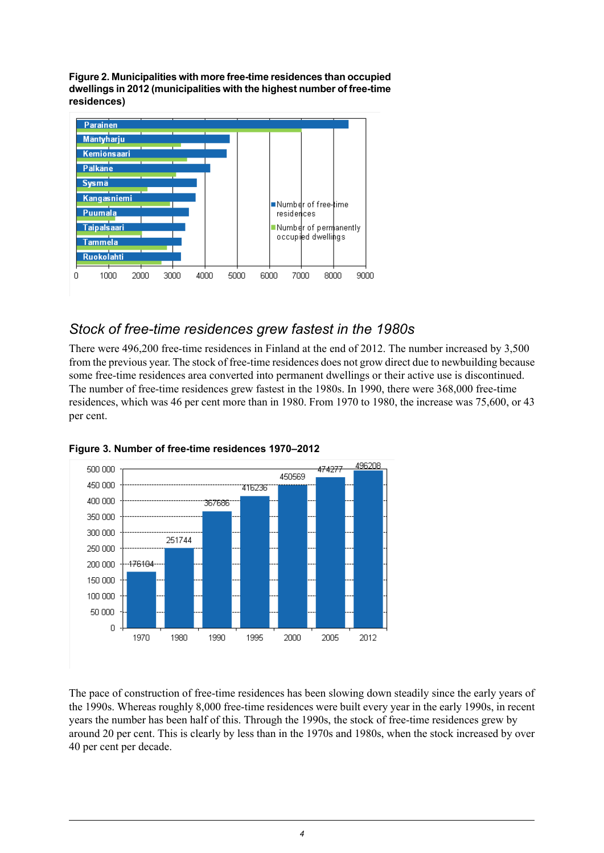<span id="page-3-1"></span>**Figure2. Municipalities with morefree-timeresidencesthan occupied dwellingsin 2012(municipalities with the highest number of free-time residences)**



#### <span id="page-3-0"></span>*Stock of free-time residences grew fastest in the 1980s*

There were 496,200 free-time residences in Finland at the end of 2012. The number increased by 3,500 from the previous year. The stock of free-time residences does not grow direct due to newbuilding because some free-time residences area converted into permanent dwellings or their active use is discontinued. The number of free-time residences grew fastest in the 1980s. In 1990, there were 368,000 free-time residences, which was 46 per cent more than in 1980. From 1970 to 1980, the increase was 75,600, or 43 per cent.



<span id="page-3-2"></span>

The pace of construction of free-time residences has been slowing down steadily since the early years of the 1990s. Whereas roughly 8,000 free-time residences were built every year in the early 1990s, in recent years the number has been half of this. Through the 1990s, the stock of free-time residences grew by around 20 per cent. This is clearly by less than in the 1970s and 1980s, when the stock increased by over 40 per cent per decade.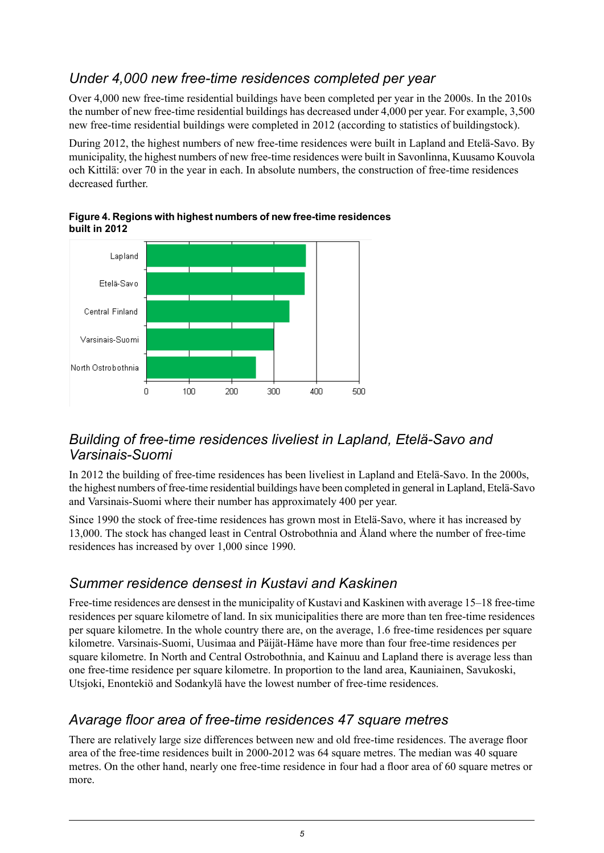#### <span id="page-4-0"></span>*Under 4,000 new free-time residences completed per year*

Over 4,000 new free-time residential buildings have been completed per year in the 2000s. In the 2010s the number of new free-time residential buildings has decreased under 4,000 per year. For example, 3,500 new free-time residential buildings were completed in 2012 (according to statistics of buildingstock).

During 2012, the highest numbers of new free-time residences were built in Lapland and Etelä-Savo. By municipality, the highest numbers of new free-time residences were built in Savonlinna, Kuusamo Kouvola och Kittilä: over 70 in the year in each. In absolute numbers, the construction of free-time residences decreased further



#### <span id="page-4-4"></span>**Figure4. Regions with highest numbers of new free-timeresidences built in 2012**

#### <span id="page-4-1"></span>*Building of free-time residences liveliest in Lapland, Etelä-Savo and Varsinais-Suomi*

In 2012 the building of free-time residences has been liveliest in Lapland and Etelä-Savo. In the 2000s, the highest numbers of free-time residential buildings have been completed in general in Lapland, Etelä-Savo and Varsinais-Suomi where their number has approximately 400 per year.

<span id="page-4-2"></span>Since 1990 the stock of free-time residences has grown most in Etelä-Savo, where it has increased by 13,000. The stock has changed least in Central Ostrobothnia and Åland where the number of free-time residences has increased by over 1,000 since 1990.

#### *Summer residence densest in Kustavi and Kaskinen*

<span id="page-4-3"></span>Free-time residences are densest in the municipality of Kustavi and Kaskinen with average 15–18 free-time residences per square kilometre of land. In six municipalities there are more than ten free-time residences per square kilometre. In the whole country there are, on the average, 1.6 free-time residences per square kilometre. Varsinais-Suomi, Uusimaa and Päijät-Häme have more than four free-time residences per square kilometre. In North and Central Ostrobothnia, and Kainuu and Lapland there is average less than one free-time residence per square kilometre. In proportion to the land area, Kauniainen, Savukoski, Utsjoki, Enontekiö and Sodankylä have the lowest number of free-time residences.

#### *Avarage floor area of free-time residences 47 square metres*

There are relatively large size differences between new and old free-time residences. The average floor area of the free-time residences built in 2000-2012 was 64 square metres. The median was 40 square metres. On the other hand, nearly one free-time residence in four had a floor area of 60 square metres or more.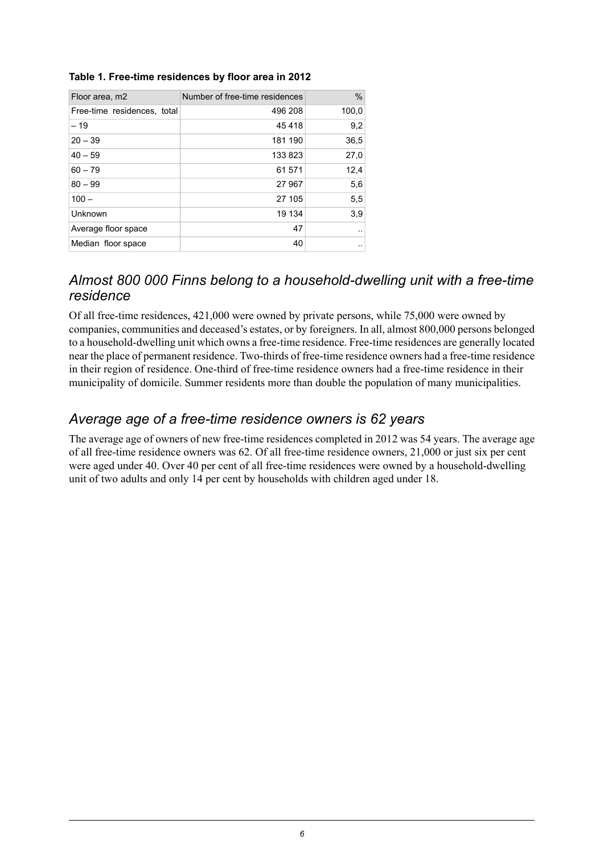| Floor area, m2              | Number of free-time residences | $\%$  |
|-----------------------------|--------------------------------|-------|
| Free-time residences, total | 496 208                        | 100,0 |
| $-19$                       | 45418                          | 9,2   |
| $20 - 39$                   | 181 190                        | 36,5  |
| $40 - 59$                   | 133823                         | 27,0  |
| $60 - 79$                   | 61 571                         | 12,4  |
| $80 - 99$                   | 27 967                         | 5,6   |
| $100 -$                     | 27 105                         | 5,5   |
| Unknown                     | 19 134                         | 3,9   |
| Average floor space         | 47                             |       |
| Median floor space          | 40                             |       |

#### <span id="page-5-2"></span>**Table 1. Free-time residences by floor area in 2012**

#### <span id="page-5-0"></span>*Almost 800 000 Finns belong to a household-dwelling unit with a free-time residence*

Of all free-time residences, 421,000 were owned by private persons, while 75,000 were owned by companies, communities and deceased's estates, or by foreigners. In all, almost 800,000 persons belonged to a household-dwelling unit which owns a free-time residence. Free-time residences are generally located near the place of permanent residence. Two-thirds of free-time residence owners had a free-time residence in their region of residence. One-third of free-time residence owners had a free-time residence in their municipality of domicile. Summer residents more than double the population of many municipalities.

#### <span id="page-5-1"></span>*Average age of a free-time residence owners is 62 years*

The average age of owners of new free-time residences completed in 2012 was 54 years. The average age of all free-time residence owners was 62. Of all free-time residence owners, 21,000 or just six per cent were aged under 40. Over 40 per cent of all free-time residences were owned by a household-dwelling unit of two adults and only 14 per cent by households with children aged under 18.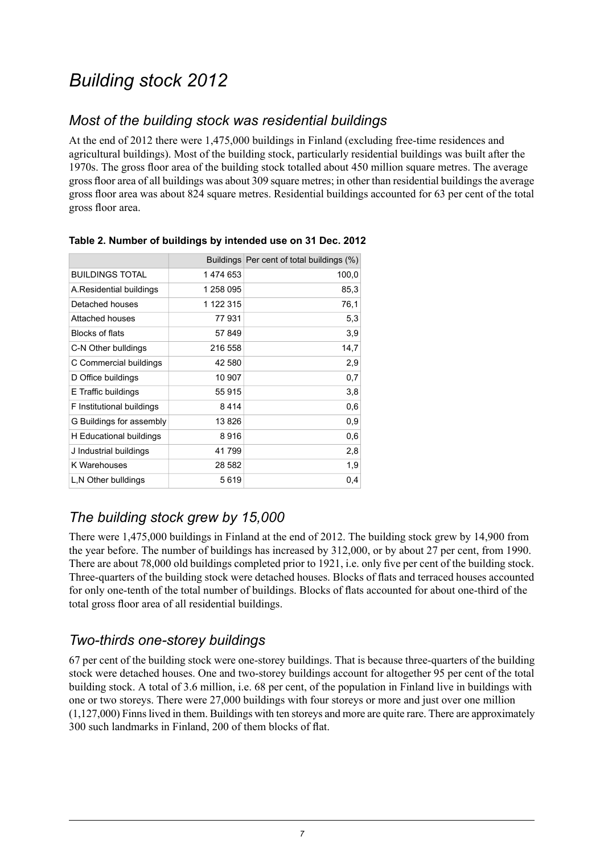# <span id="page-6-0"></span>*Building stock 2012*

#### <span id="page-6-1"></span>*Most of the building stock was residential buildings*

At the end of 2012 there were 1,475,000 buildings in Finland (excluding free-time residences and agricultural buildings). Most of the building stock, particularly residential buildings was built after the 1970s. The gross floor area of the building stock totalled about 450 million square metres. The average gross floor area of all buildings was about 309 square metres; in other than residential buildings the average gross floor area was about 824 square metres. Residential buildings accounted for 63 per cent of the total gross floor area.

|                           |           | Buildings Per cent of total buildings (%) |
|---------------------------|-----------|-------------------------------------------|
| <b>BUILDINGS TOTAL</b>    | 1474653   | 100,0                                     |
| A.Residential buildings   | 1 258 095 | 85,3                                      |
| Detached houses           | 1 122 315 | 76,1                                      |
| Attached houses           | 77931     | 5,3                                       |
| Blocks of flats           | 57849     | 3,9                                       |
| C-N Other bulldings       | 216 558   | 14,7                                      |
| C Commercial buildings    | 42 580    | 2,9                                       |
| D Office buildings        | 10 907    | 0,7                                       |
| E Traffic buildings       | 55 915    | 3,8                                       |
| F Institutional buildings | 8414      | 0,6                                       |
| G Buildings for assembly  | 13826     | 0,9                                       |
| H Educational buildings   | 8916      | 0,6                                       |
| J Industrial buildings    | 41 799    | 2,8                                       |
| K Warehouses              | 28 582    | 1,9                                       |
| L,N Other bulldings       | 5619      | 0,4                                       |

#### <span id="page-6-4"></span>**Table 2. Number of buildings by intended use on 31 Dec. 2012**

#### <span id="page-6-2"></span>*The building stock grew by 15,000*

<span id="page-6-3"></span>There were 1,475,000 buildings in Finland at the end of 2012. The building stock grew by 14,900 from the year before. The number of buildings has increased by 312,000, or by about 27 per cent, from 1990. There are about 78,000 old buildings completed prior to 1921, i.e. only five per cent of the building stock. Three-quarters of the building stock were detached houses. Blocks of flats and terraced houses accounted for only one-tenth of the total number of buildings. Blocks of flats accounted for about one-third of the total gross floor area of all residential buildings.

#### *Two-thirds one-storey buildings*

67 per cent of the building stock were one-storey buildings. That is because three-quarters of the building stock were detached houses. One and two-storey buildings account for altogether 95 per cent of the total building stock. A total of 3.6 million, i.e. 68 per cent, of the population in Finland live in buildings with one or two storeys. There were 27,000 buildings with four storeys or more and just over one million (1,127,000) Finnslived in them. Buildings with ten storeys and more are quite rare. There are approximately 300 such landmarks in Finland, 200 of them blocks of flat.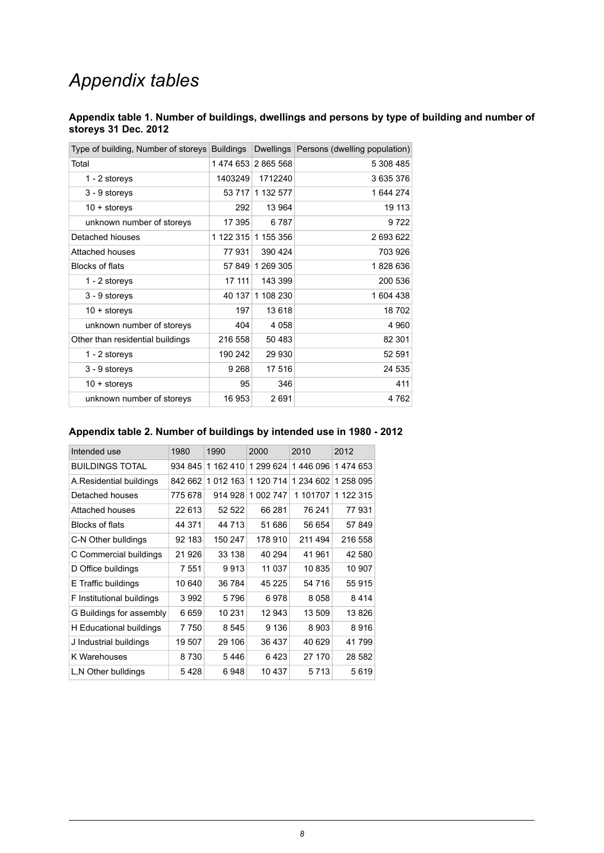## *Appendix tables*

#### <span id="page-7-0"></span>**Appendix table 1. Number of buildings, dwellings and persons by type of building and number of storeys 31 Dec. 2012**

| Type of building, Number of storeys<br><b>Buildings</b> |           | Dwellings Persons (dwelling population)                      |
|---------------------------------------------------------|-----------|--------------------------------------------------------------|
|                                                         |           | 5 308 485                                                    |
| 1403249                                                 | 1712240   | 3635376                                                      |
|                                                         | 1 132 577 | 1644274                                                      |
| 292                                                     | 13 964    | 19 113                                                       |
| 17 395                                                  | 6787      | 9722                                                         |
|                                                         | 1 155 356 | 2 693 622                                                    |
| 77931                                                   | 390 424   | 703926                                                       |
|                                                         | 1 269 305 | 1828636                                                      |
| 17 111                                                  | 143 399   | 200 536                                                      |
|                                                         | 1 108 230 | 1604438                                                      |
| 197                                                     | 13618     | 18702                                                        |
| 404                                                     | 4 0 5 8   | 4 9 6 0                                                      |
| 216 558                                                 | 50 483    | 82 301                                                       |
| 190 242                                                 | 29 930    | 52 591                                                       |
| 9 2 6 8                                                 | 17 516    | 24 535                                                       |
| 95                                                      | 346       | 411                                                          |
| 16 953                                                  | 2691      | 4762                                                         |
|                                                         |           | 1474 653 2865 568<br>53 717<br>1 122 315<br>57 849<br>40 137 |

#### <span id="page-7-1"></span>**Appendix table 2. Number of buildings by intended use in 1980 - 2012**

<span id="page-7-2"></span>

| Intended use              | 1980    | 1990      | 2000      | 2010        | 2012      |
|---------------------------|---------|-----------|-----------|-------------|-----------|
| <b>BUILDINGS TOTAL</b>    | 934 845 | 1 162 410 | 1 299 624 | 1446 096    | 1474653   |
| A.Residential buildings   | 842 662 | 1 012 163 | 1 120 714 | 1 234 602   | 1 258 095 |
| Detached houses           | 775 678 | 914 928   | 1 002 747 | 101707<br>1 | 1 122 315 |
| Attached houses           | 22 613  | 52 522    | 66 281    | 76 241      | 77931     |
| Blocks of flats           | 44 371  | 44 713    | 51 686    | 56 654      | 57849     |
| C-N Other bulldings       | 92 183  | 150 247   | 178 910   | 211 494     | 216 558   |
| C Commercial buildings    | 21 9 26 | 33 138    | 40 294    | 41 961      | 42 580    |
| D Office buildings        | 7 551   | 9913      | 11 037    | 10835       | 10 907    |
| E Traffic buildings       | 10 640  | 36 784    | 45 225    | 54 716      | 55915     |
| F Institutional buildings | 3992    | 5796      | 6978      | 8058        | 8414      |
| G Buildings for assembly  | 6659    | 10 231    | 12 943    | 13 509      | 13826     |
| H Educational buildings   | 7750    | 8545      | 9 1 3 6   | 8903        | 8916      |
| J Industrial buildings    | 19 507  | 29 106    | 36 437    | 40 629      | 41799     |
| K Warehouses              | 8730    | 5446      | 6423      | 27 170      | 28 582    |
| L, N Other bulldings      | 5428    | 6948      | 10 437    | 5713        | 5619      |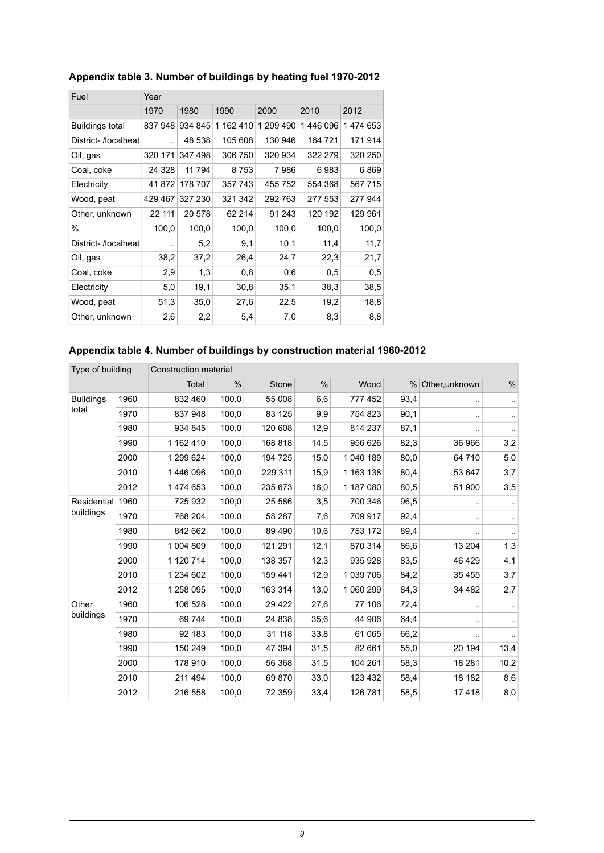| Fuel                | Year                 |         |           |           |          |         |  |  |
|---------------------|----------------------|---------|-----------|-----------|----------|---------|--|--|
|                     | 1970                 | 1980    | 1990      | 2000      | 2010     | 2012    |  |  |
| Buildings total     | 837 948              | 934 845 | 1 162 410 | 1 299 490 | 1446 096 | 1474653 |  |  |
| District-/localheat |                      | 48 538  | 105 608   | 130 946   | 164 721  | 171914  |  |  |
| Oil, gas            | 320 171              | 347 498 | 306 750   | 320 934   | 322 279  | 320 250 |  |  |
| Coal, coke          | 24 3 28              | 11 794  | 8753      | 7986      | 6983     | 6869    |  |  |
| Electricity         | 41 872               | 178 707 | 357 743   | 455 752   | 554 368  | 567 715 |  |  |
| Wood, peat          | 429 467              | 327 230 | 321 342   | 292 763   | 277 553  | 277 944 |  |  |
| Other, unknown      | 22 111               | 20 578  | 62 214    | 91 243    | 120 192  | 129 961 |  |  |
| $\%$                | 100,0                | 100,0   | 100,0     | 100,0     | 100,0    | 100,0   |  |  |
| District-/localheat | $\ddot{\phantom{0}}$ | 5,2     | 9,1       | 10,1      | 11,4     | 11,7    |  |  |
| Oil, gas            | 38,2                 | 37,2    | 26,4      | 24,7      | 22,3     | 21,7    |  |  |
| Coal, coke          | 2,9                  | 1,3     | 0,8       | 0,6       | 0,5      | 0,5     |  |  |
| Electricity         | 5,0                  | 19,1    | 30,8      | 35,1      | 38,3     | 38,5    |  |  |
| Wood, peat          | 51,3                 | 35,0    | 27,6      | 22,5      | 19,2     | 18,8    |  |  |
| Other, unknown      | 2,6                  | 2,2     | 5,4       | 7,0       | 8,3      | 8,8     |  |  |

#### **Appendix table 3. Number of buildings by heating fuel 1970-2012**

#### <span id="page-8-0"></span>**Appendix table 4. Number of buildings by construction material 1960-2012**

| Type of building |      | Construction material                                                                   |       |         |      |           |      |         |           |
|------------------|------|-----------------------------------------------------------------------------------------|-------|---------|------|-----------|------|---------|-----------|
|                  |      | $\%$<br>$\frac{0}{0}$<br><b>Total</b><br><b>Stone</b><br>Wood<br>$\%$<br>Other, unknown |       |         |      |           |      |         | %         |
| <b>Buildings</b> | 1960 | 832 460                                                                                 | 100,0 | 55 008  | 6,6  | 777 452   | 93,4 |         | $\cdot$   |
| total            | 1970 | 837 948                                                                                 | 100,0 | 83 125  | 9,9  | 754 823   | 90,1 |         | $\cdot$ . |
|                  | 1980 | 934 845                                                                                 | 100,0 | 120 608 | 12,9 | 814 237   | 87,1 |         | $\cdot$ . |
|                  | 1990 | 1 162 410                                                                               | 100,0 | 168 818 | 14,5 | 956 626   | 82,3 | 36 966  | 3,2       |
|                  | 2000 | 1 299 624                                                                               | 100,0 | 194 725 | 15,0 | 1 040 189 | 80,0 | 64710   | 5,0       |
|                  | 2010 | 1446 096                                                                                | 100,0 | 229 311 | 15,9 | 1 163 138 | 80,4 | 53 647  | 3,7       |
|                  | 2012 | 1 474 653                                                                               | 100,0 | 235 673 | 16,0 | 1 187 080 | 80,5 | 51 900  | 3,5       |
| Residential      | 1960 | 725 932                                                                                 | 100,0 | 25 586  | 3,5  | 700 346   | 96,5 |         | $\sim$    |
| buildings        | 1970 | 768 204                                                                                 | 100,0 | 58 287  | 7,6  | 709 917   | 92,4 |         | $\cdot$   |
|                  | 1980 | 842 662                                                                                 | 100,0 | 89 490  | 10,6 | 753 172   | 89,4 |         |           |
|                  | 1990 | 1 004 809                                                                               | 100,0 | 121 291 | 12,1 | 870 314   | 86,6 | 13 204  | 1,3       |
|                  | 2000 | 1 120 714                                                                               | 100,0 | 138 357 | 12,3 | 935 928   | 83,5 | 46 4 29 | 4,1       |
|                  | 2010 | 1 234 602                                                                               | 100,0 | 159 441 | 12,9 | 1 039 706 | 84,2 | 35 455  | 3,7       |
|                  | 2012 | 1 258 095                                                                               | 100,0 | 163 314 | 13,0 | 1 060 299 | 84,3 | 34 482  | 2,7       |
| Other            | 1960 | 106 528                                                                                 | 100,0 | 29 4 22 | 27,6 | 77 106    | 72,4 |         |           |
| buildings        | 1970 | 69 744                                                                                  | 100,0 | 24 838  | 35,6 | 44 906    | 64,4 |         | $\ddotsc$ |
|                  | 1980 | 92 183                                                                                  | 100,0 | 31 118  | 33,8 | 61 065    | 66,2 |         |           |
|                  | 1990 | 150 249                                                                                 | 100,0 | 47 394  | 31,5 | 82 661    | 55,0 | 20 194  | 13,4      |
|                  | 2000 | 178 910                                                                                 | 100,0 | 56 368  | 31,5 | 104 261   | 58,3 | 18 28 1 | 10,2      |
|                  | 2010 | 211 494                                                                                 | 100,0 | 69870   | 33,0 | 123 432   | 58,4 | 18 182  | 8,6       |
|                  | 2012 | 216 558                                                                                 | 100,0 | 72 359  | 33,4 | 126 781   | 58,5 | 17418   | 8,0       |